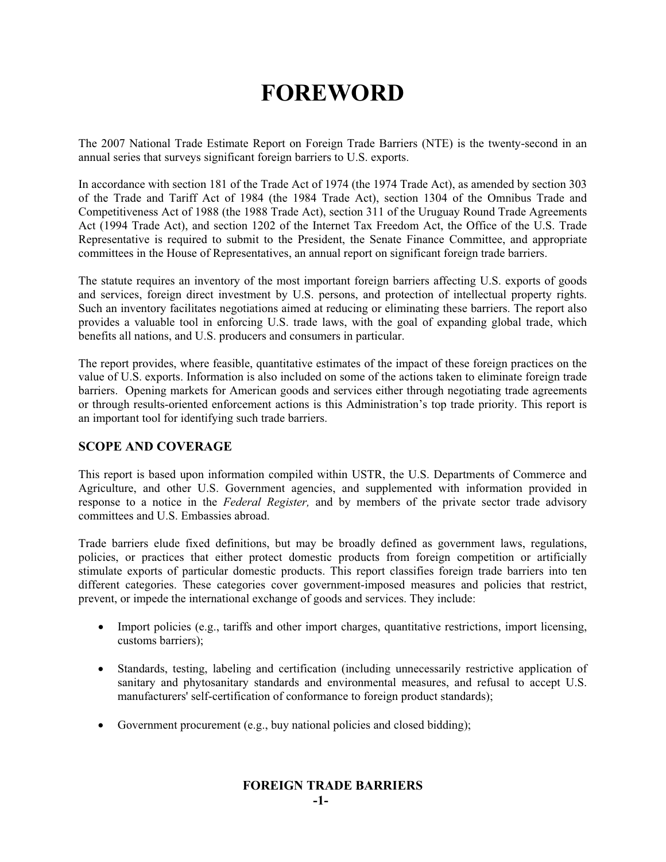# **FOREWORD**

The 2007 National Trade Estimate Report on Foreign Trade Barriers (NTE) is the twenty-second in an annual series that surveys significant foreign barriers to U.S. exports.

In accordance with section 181 of the Trade Act of 1974 (the 1974 Trade Act), as amended by section 303 of the Trade and Tariff Act of 1984 (the 1984 Trade Act), section 1304 of the Omnibus Trade and Competitiveness Act of 1988 (the 1988 Trade Act), section 311 of the Uruguay Round Trade Agreements Act (1994 Trade Act), and section 1202 of the Internet Tax Freedom Act, the Office of the U.S. Trade Representative is required to submit to the President, the Senate Finance Committee, and appropriate committees in the House of Representatives, an annual report on significant foreign trade barriers.

The statute requires an inventory of the most important foreign barriers affecting U.S. exports of goods and services, foreign direct investment by U.S. persons, and protection of intellectual property rights. Such an inventory facilitates negotiations aimed at reducing or eliminating these barriers. The report also provides a valuable tool in enforcing U.S. trade laws, with the goal of expanding global trade, which benefits all nations, and U.S. producers and consumers in particular.

The report provides, where feasible, quantitative estimates of the impact of these foreign practices on the value of U.S. exports. Information is also included on some of the actions taken to eliminate foreign trade barriers. Opening markets for American goods and services either through negotiating trade agreements or through results-oriented enforcement actions is this Administration's top trade priority. This report is an important tool for identifying such trade barriers.

## **SCOPE AND COVERAGE**

This report is based upon information compiled within USTR, the U.S. Departments of Commerce and Agriculture, and other U.S. Government agencies, and supplemented with information provided in response to a notice in the *Federal Register,* and by members of the private sector trade advisory committees and U.S. Embassies abroad.

Trade barriers elude fixed definitions, but may be broadly defined as government laws, regulations, policies, or practices that either protect domestic products from foreign competition or artificially stimulate exports of particular domestic products. This report classifies foreign trade barriers into ten different categories. These categories cover government-imposed measures and policies that restrict, prevent, or impede the international exchange of goods and services. They include:

- Import policies (e.g., tariffs and other import charges, quantitative restrictions, import licensing, customs barriers);
- Standards, testing, labeling and certification (including unnecessarily restrictive application of sanitary and phytosanitary standards and environmental measures, and refusal to accept U.S. manufacturers' self-certification of conformance to foreign product standards);
- Government procurement (e.g., buy national policies and closed bidding);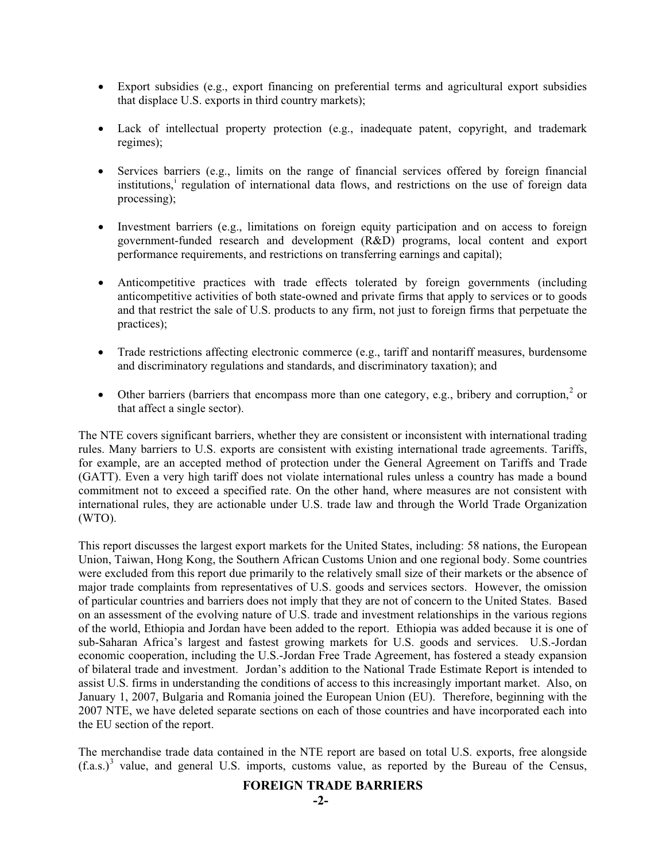- Export subsidies (e.g., export financing on preferential terms and agricultural export subsidies that displace U.S. exports in third country markets);
- Lack of intellectual property protection (e.g., inadequate patent, copyright, and trademark regimes);
- x Services barriers (e.g., limits on the range of financial services offered by foreign financial institutions,<sup>i</sup> regulation of international data flows, and restrictions on the use of foreign data processing);
- Investment barriers (e.g., limitations on foreign equity participation and on access to foreign government-funded research and development (R&D) programs, local content and export performance requirements, and restrictions on transferring earnings and capital);
- Anticompetitive practices with trade effects tolerated by foreign governments (including anticompetitive activities of both state-owned and private firms that apply to services or to goods and that restrict the sale of U.S. products to any firm, not just to foreign firms that perpetuate the practices);
- $\bullet$  Trade restrictions affecting electronic commerce (e.g., tariff and nontariff measures, burdensome and discriminatory regulations and standards, and discriminatory taxation); and
- Other barriers (barriers that encompass more than one category, e.g., bribery and corruption,<sup>2</sup> or that affect a single sector).

The NTE covers significant barriers, whether they are consistent or inconsistent with international trading rules. Many barriers to U.S. exports are consistent with existing international trade agreements. Tariffs, for example, are an accepted method of protection under the General Agreement on Tariffs and Trade (GATT). Even a very high tariff does not violate international rules unless a country has made a bound commitment not to exceed a specified rate. On the other hand, where measures are not consistent with international rules, they are actionable under U.S. trade law and through the World Trade Organization (WTO).

This report discusses the largest export markets for the United States, including: 58 nations, the European Union, Taiwan, Hong Kong, the Southern African Customs Union and one regional body. Some countries were excluded from this report due primarily to the relatively small size of their markets or the absence of major trade complaints from representatives of U.S. goods and services sectors. However, the omission of particular countries and barriers does not imply that they are not of concern to the United States. Based on an assessment of the evolving nature of U.S. trade and investment relationships in the various regions of the world, Ethiopia and Jordan have been added to the report. Ethiopia was added because it is one of sub-Saharan Africa's largest and fastest growing markets for U.S. goods and services. U.S.-Jordan economic cooperation, including the U.S.-Jordan Free Trade Agreement, has fostered a steady expansion of bilateral trade and investment. Jordan's addition to the National Trade Estimate Report is intended to assist U.S. firms in understanding the conditions of access to this increasingly important market. Also, on January 1, 2007, Bulgaria and Romania joined the European Union (EU). Therefore, beginning with the 2007 NTE, we have deleted separate sections on each of those countries and have incorporated each into the EU section of the report.

The merchandise trade data contained in the NTE report are based on total U.S. exports, free alongside  $(f.a.s.)<sup>3</sup>$  value, and general U.S. imports, customs value, as reported by the Bureau of the Census,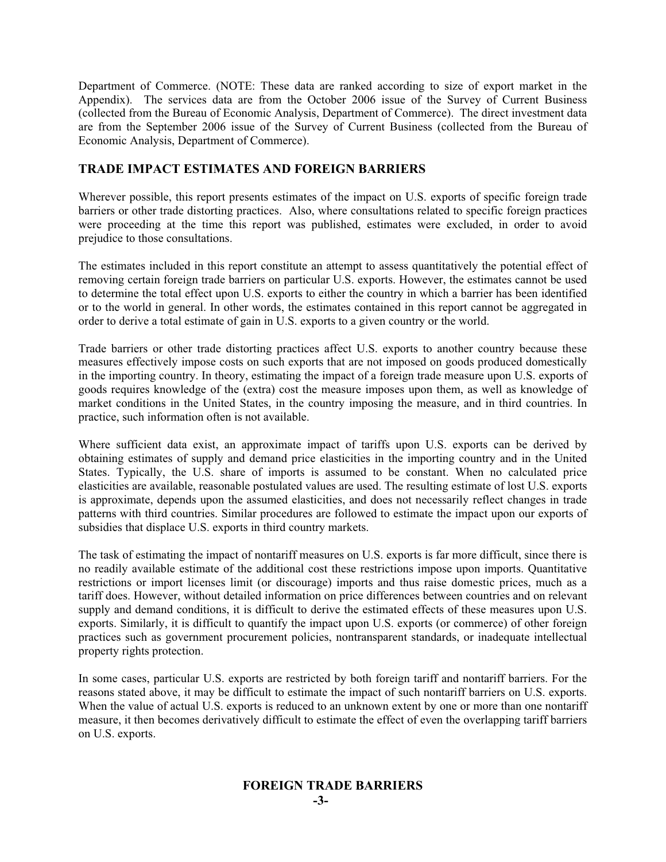Department of Commerce. (NOTE: These data are ranked according to size of export market in the Appendix). The services data are from the October 2006 issue of the Survey of Current Business (collected from the Bureau of Economic Analysis, Department of Commerce). The direct investment data are from the September 2006 issue of the Survey of Current Business (collected from the Bureau of Economic Analysis, Department of Commerce).

# **TRADE IMPACT ESTIMATES AND FOREIGN BARRIERS**

Wherever possible, this report presents estimates of the impact on U.S. exports of specific foreign trade barriers or other trade distorting practices. Also, where consultations related to specific foreign practices were proceeding at the time this report was published, estimates were excluded, in order to avoid prejudice to those consultations.

The estimates included in this report constitute an attempt to assess quantitatively the potential effect of removing certain foreign trade barriers on particular U.S. exports. However, the estimates cannot be used to determine the total effect upon U.S. exports to either the country in which a barrier has been identified or to the world in general. In other words, the estimates contained in this report cannot be aggregated in order to derive a total estimate of gain in U.S. exports to a given country or the world.

Trade barriers or other trade distorting practices affect U.S. exports to another country because these measures effectively impose costs on such exports that are not imposed on goods produced domestically in the importing country. In theory, estimating the impact of a foreign trade measure upon U.S. exports of goods requires knowledge of the (extra) cost the measure imposes upon them, as well as knowledge of market conditions in the United States, in the country imposing the measure, and in third countries. In practice, such information often is not available.

Where sufficient data exist, an approximate impact of tariffs upon U.S. exports can be derived by obtaining estimates of supply and demand price elasticities in the importing country and in the United States. Typically, the U.S. share of imports is assumed to be constant. When no calculated price elasticities are available, reasonable postulated values are used. The resulting estimate of lost U.S. exports is approximate, depends upon the assumed elasticities, and does not necessarily reflect changes in trade patterns with third countries. Similar procedures are followed to estimate the impact upon our exports of subsidies that displace U.S. exports in third country markets.

The task of estimating the impact of nontariff measures on U.S. exports is far more difficult, since there is no readily available estimate of the additional cost these restrictions impose upon imports. Quantitative restrictions or import licenses limit (or discourage) imports and thus raise domestic prices, much as a tariff does. However, without detailed information on price differences between countries and on relevant supply and demand conditions, it is difficult to derive the estimated effects of these measures upon U.S. exports. Similarly, it is difficult to quantify the impact upon U.S. exports (or commerce) of other foreign practices such as government procurement policies, nontransparent standards, or inadequate intellectual property rights protection.

In some cases, particular U.S. exports are restricted by both foreign tariff and nontariff barriers. For the reasons stated above, it may be difficult to estimate the impact of such nontariff barriers on U.S. exports. When the value of actual U.S. exports is reduced to an unknown extent by one or more than one nontariff measure, it then becomes derivatively difficult to estimate the effect of even the overlapping tariff barriers on U.S. exports.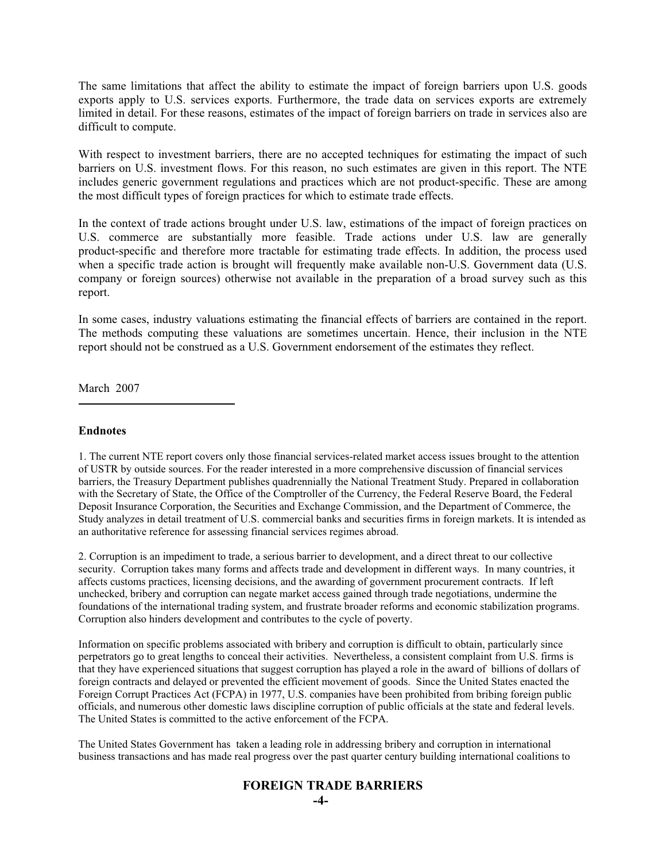The same limitations that affect the ability to estimate the impact of foreign barriers upon U.S. goods exports apply to U.S. services exports. Furthermore, the trade data on services exports are extremely limited in detail. For these reasons, estimates of the impact of foreign barriers on trade in services also are difficult to compute.

With respect to investment barriers, there are no accepted techniques for estimating the impact of such barriers on U.S. investment flows. For this reason, no such estimates are given in this report. The NTE includes generic government regulations and practices which are not product-specific. These are among the most difficult types of foreign practices for which to estimate trade effects.

In the context of trade actions brought under U.S. law, estimations of the impact of foreign practices on U.S. commerce are substantially more feasible. Trade actions under U.S. law are generally product-specific and therefore more tractable for estimating trade effects. In addition, the process used when a specific trade action is brought will frequently make available non-U.S. Government data (U.S. company or foreign sources) otherwise not available in the preparation of a broad survey such as this report.

In some cases, industry valuations estimating the financial effects of barriers are contained in the report. The methods computing these valuations are sometimes uncertain. Hence, their inclusion in the NTE report should not be construed as a U.S. Government endorsement of the estimates they reflect.

March 2007

#### **Endnotes**

1. The current NTE report covers only those financial services-related market access issues brought to the attention of USTR by outside sources. For the reader interested in a more comprehensive discussion of financial services barriers, the Treasury Department publishes quadrennially the National Treatment Study. Prepared in collaboration with the Secretary of State, the Office of the Comptroller of the Currency, the Federal Reserve Board, the Federal Deposit Insurance Corporation, the Securities and Exchange Commission, and the Department of Commerce, the Study analyzes in detail treatment of U.S. commercial banks and securities firms in foreign markets. It is intended as an authoritative reference for assessing financial services regimes abroad.

2. Corruption is an impediment to trade, a serious barrier to development, and a direct threat to our collective security. Corruption takes many forms and affects trade and development in different ways. In many countries, it affects customs practices, licensing decisions, and the awarding of government procurement contracts. If left unchecked, bribery and corruption can negate market access gained through trade negotiations, undermine the foundations of the international trading system, and frustrate broader reforms and economic stabilization programs. Corruption also hinders development and contributes to the cycle of poverty.

Information on specific problems associated with bribery and corruption is difficult to obtain, particularly since perpetrators go to great lengths to conceal their activities. Nevertheless, a consistent complaint from U.S. firms is that they have experienced situations that suggest corruption has played a role in the award of billions of dollars of foreign contracts and delayed or prevented the efficient movement of goods. Since the United States enacted the Foreign Corrupt Practices Act (FCPA) in 1977, U.S. companies have been prohibited from bribing foreign public officials, and numerous other domestic laws discipline corruption of public officials at the state and federal levels. The United States is committed to the active enforcement of the FCPA.

The United States Government has taken a leading role in addressing bribery and corruption in international business transactions and has made real progress over the past quarter century building international coalitions to